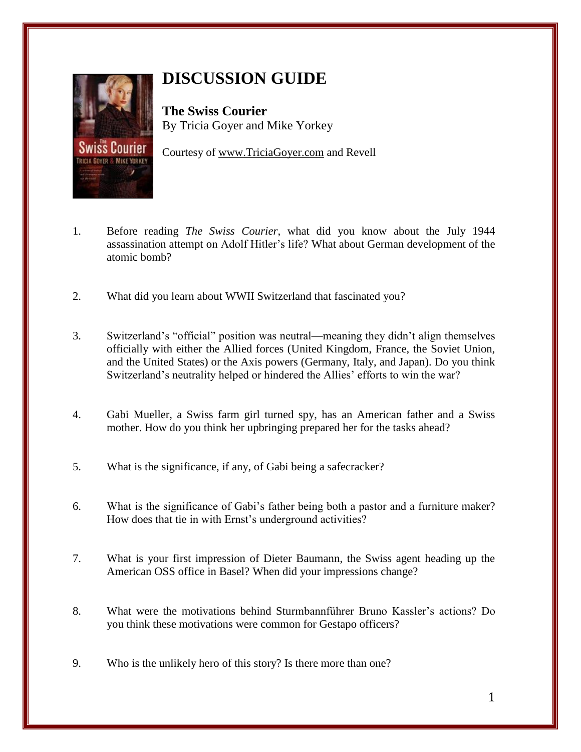

## **DISCUSSION GUIDE**

**The Swiss Courier** By Tricia Goyer and Mike Yorkey

Courtesy of [www.TriciaGoyer.com](http://www.triciagoyer.com/) and Revell

- 1. Before reading *The Swiss Courier*, what did you know about the July 1944 assassination attempt on Adolf Hitler's life? What about German development of the atomic bomb?
- 2. What did you learn about WWII Switzerland that fascinated you?
- 3. Switzerland's "official" position was neutral—meaning they didn't align themselves officially with either the Allied forces (United Kingdom, France, the Soviet Union, and the United States) or the Axis powers (Germany, Italy, and Japan). Do you think Switzerland's neutrality helped or hindered the Allies' efforts to win the war?
- 4. Gabi Mueller, a Swiss farm girl turned spy, has an American father and a Swiss mother. How do you think her upbringing prepared her for the tasks ahead?
- 5. What is the significance, if any, of Gabi being a safecracker?
- 6. What is the significance of Gabi's father being both a pastor and a furniture maker? How does that tie in with Ernst's underground activities?
- 7. What is your first impression of Dieter Baumann, the Swiss agent heading up the American OSS office in Basel? When did your impressions change?
- 8. What were the motivations behind Sturmbannführer Bruno Kassler's actions? Do you think these motivations were common for Gestapo officers?
- 9. Who is the unlikely hero of this story? Is there more than one?